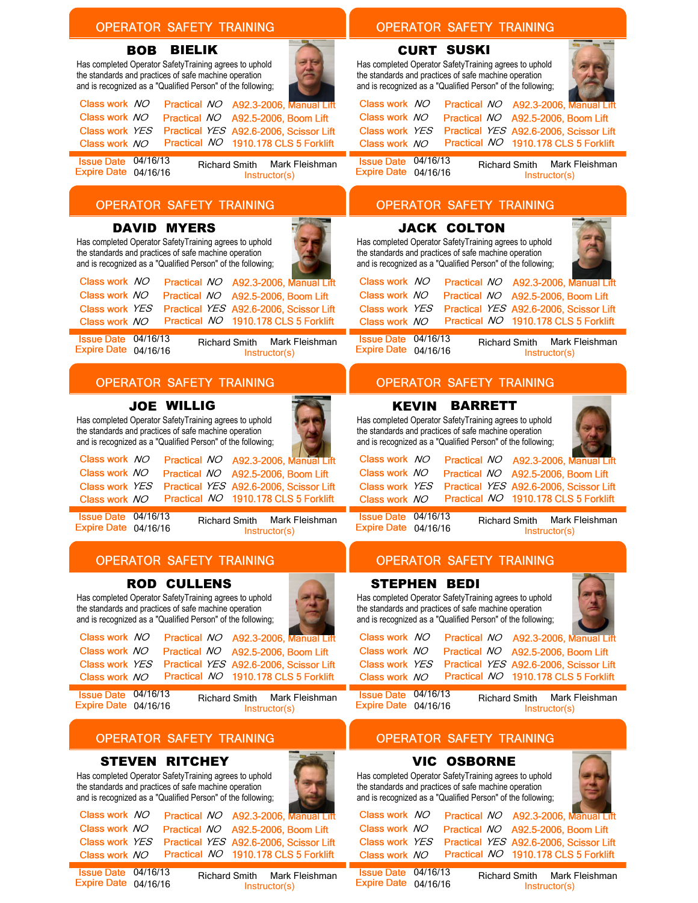| <b>BIELIK</b><br><b>CURT SUSKI</b><br><b>BOB</b><br>Has completed Operator SafetyTraining agrees to uphold<br>Has completed Operator SafetyTraining agrees to uphold<br>the standards and practices of safe machine operation<br>the standards and practices of safe machine operation<br>and is recognized as a "Qualified Person" of the following;<br>and is recognized as a "Qualified Person" of the following;<br>Class work NO<br>Class work NO<br>A92.3-2006, Manual Lift<br>A92.3-2006, Manual Lift<br>Practical NO<br><b>Practical NO</b><br>Class work NO<br>Class work NO<br>A92.5-2006, Boom Lift<br>A92.5-2006, Boom Lift<br>Practical NO<br>Practical NO<br>Class work YES<br>Practical YES A92.6-2006, Scissor Lift<br>Class work YES<br>Practical YES A92.6-2006, Scissor Lift<br>Practical NO 1910.178 CLS 5 Forklift<br>Practical NO 1910.178 CLS 5 Forklift<br>Class work NO<br>Class work NO<br>Issue Date 04/16/13<br><b>Issue Date 04/16/13</b><br>Mark Fleishman<br>Mark Fleishman<br><b>Richard Smith</b><br><b>Richard Smith</b><br>Expire Date 04/16/16<br>Expire Date 04/16/16<br>Instructor(s)<br>Instructor(s)<br><b>OPERATOR SAFETY TRAINING</b><br><b>OPERATOR SAFETY TRAINING</b><br><b>DAVID MYERS</b><br><b>JACK COLTON</b><br>Has completed Operator SafetyTraining agrees to uphold<br>Has completed Operator SafetyTraining agrees to uphold<br>the standards and practices of safe machine operation<br>the standards and practices of safe machine operation<br>and is recognized as a "Qualified Person" of the following;<br>and is recognized as a "Qualified Person" of the following;<br>Class work NO<br>Class work NO<br>A92.3-2006, Manual Lift<br><b>Practical NO</b><br><b>Practical NO</b><br>A92.3-2006, Manual Lift<br>Class work NO<br>Class work NO<br>A92.5-2006, Boom Lift<br>A92.5-2006, Boom Lift<br>Practical NO<br>Practical NO<br>Class work YES<br>Practical YES A92.6-2006, Scissor Lift<br>Class work YES<br>Practical YES A92.6-2006, Scissor Lift<br>Practical NO 1910.178 CLS 5 Forklift<br>Practical NO 1910.178 CLS 5 Forklift<br>Class work NO<br>Class work NO<br>Issue Date 04/16/13<br>Issue Date 04/16/13<br>Mark Fleishman<br>Mark Fleishman<br><b>Richard Smith</b><br><b>Richard Smith</b><br>Expire Date 04/16/16<br>Expire Date 04/16/16<br>Instructor(s)<br>Instructor(s) |  |
|------------------------------------------------------------------------------------------------------------------------------------------------------------------------------------------------------------------------------------------------------------------------------------------------------------------------------------------------------------------------------------------------------------------------------------------------------------------------------------------------------------------------------------------------------------------------------------------------------------------------------------------------------------------------------------------------------------------------------------------------------------------------------------------------------------------------------------------------------------------------------------------------------------------------------------------------------------------------------------------------------------------------------------------------------------------------------------------------------------------------------------------------------------------------------------------------------------------------------------------------------------------------------------------------------------------------------------------------------------------------------------------------------------------------------------------------------------------------------------------------------------------------------------------------------------------------------------------------------------------------------------------------------------------------------------------------------------------------------------------------------------------------------------------------------------------------------------------------------------------------------------------------------------------------------------------------------------------------------------------------------------------------------------------------------------------------------------------------------------------------------------------------------------------------------------------------------------------------------------------------------------------------------------------------------------------------------------------------------------|--|
|                                                                                                                                                                                                                                                                                                                                                                                                                                                                                                                                                                                                                                                                                                                                                                                                                                                                                                                                                                                                                                                                                                                                                                                                                                                                                                                                                                                                                                                                                                                                                                                                                                                                                                                                                                                                                                                                                                                                                                                                                                                                                                                                                                                                                                                                                                                                                            |  |
|                                                                                                                                                                                                                                                                                                                                                                                                                                                                                                                                                                                                                                                                                                                                                                                                                                                                                                                                                                                                                                                                                                                                                                                                                                                                                                                                                                                                                                                                                                                                                                                                                                                                                                                                                                                                                                                                                                                                                                                                                                                                                                                                                                                                                                                                                                                                                            |  |
|                                                                                                                                                                                                                                                                                                                                                                                                                                                                                                                                                                                                                                                                                                                                                                                                                                                                                                                                                                                                                                                                                                                                                                                                                                                                                                                                                                                                                                                                                                                                                                                                                                                                                                                                                                                                                                                                                                                                                                                                                                                                                                                                                                                                                                                                                                                                                            |  |
|                                                                                                                                                                                                                                                                                                                                                                                                                                                                                                                                                                                                                                                                                                                                                                                                                                                                                                                                                                                                                                                                                                                                                                                                                                                                                                                                                                                                                                                                                                                                                                                                                                                                                                                                                                                                                                                                                                                                                                                                                                                                                                                                                                                                                                                                                                                                                            |  |
|                                                                                                                                                                                                                                                                                                                                                                                                                                                                                                                                                                                                                                                                                                                                                                                                                                                                                                                                                                                                                                                                                                                                                                                                                                                                                                                                                                                                                                                                                                                                                                                                                                                                                                                                                                                                                                                                                                                                                                                                                                                                                                                                                                                                                                                                                                                                                            |  |
| <b>OPERATOR SAFETY TRAINING</b><br><b>OPERATOR SAFETY TRAINING</b>                                                                                                                                                                                                                                                                                                                                                                                                                                                                                                                                                                                                                                                                                                                                                                                                                                                                                                                                                                                                                                                                                                                                                                                                                                                                                                                                                                                                                                                                                                                                                                                                                                                                                                                                                                                                                                                                                                                                                                                                                                                                                                                                                                                                                                                                                         |  |
| <b>JOE WILLIG</b><br><b>KEVIN</b><br><b>BARRETT</b><br>Has completed Operator SafetyTraining agrees to uphold<br>Has completed Operator SafetyTraining agrees to uphold<br>the standards and practices of safe machine operation<br>the standards and practices of safe machine operation<br>and is recognized as a "Qualified Person" of the following;<br>and is recognized as a "Qualified Person" of the following;<br>Class work NO<br>Class work NO<br><b>Practical NO</b><br>A92.3-2006, Manual Lift<br>Practical NO<br>A92.3-2006, Manual Lift<br>Class work NO<br>Class work NO<br>Practical NO<br>A92.5-2006, Boom Lift<br>Practical NO<br>A92.5-2006, Boom Lift<br>Class work YES<br>Practical YES A92.6-2006, Scissor Lift<br>Class work YES<br>Practical YES A92.6-2006, Scissor Lift<br>Practical NO 1910.178 CLS 5 Forklift<br>Practical NO 1910.178 CLS 5 Forklift<br>Class work NO<br>Class work NO<br>Issue Date 04/16/13<br><b>Issue Date 04/16/13</b><br><b>Richard Smith</b><br>Mark Fleishman<br>Mark Fleishman<br><b>Richard Smith</b><br>Expire Date 04/16/16<br>Expire Date 04/16/16                                                                                                                                                                                                                                                                                                                                                                                                                                                                                                                                                                                                                                                                                                                                                                                                                                                                                                                                                                                                                                                                                                                                                                                                                                              |  |
| Instructor(s)<br>Instructor(s)<br><b>OPERATOR SAFETY TRAINING</b><br><b>OPERATOR SAFETY TRAINING</b>                                                                                                                                                                                                                                                                                                                                                                                                                                                                                                                                                                                                                                                                                                                                                                                                                                                                                                                                                                                                                                                                                                                                                                                                                                                                                                                                                                                                                                                                                                                                                                                                                                                                                                                                                                                                                                                                                                                                                                                                                                                                                                                                                                                                                                                       |  |
| <b>ROD CULLENS</b><br><b>STEPHEN BEDI</b><br>Has completed Operator SafetyTraining agrees to uphold<br>Has completed Operator SafetyTraining agrees to uphold<br>the standards and practices of safe machine operation<br>the standards and practices of safe machine operation<br>and is recognized as a "Qualified Person" of the following;<br>and is recognized as a "Qualified Person" of the following;<br>Class work NO<br>Class work NO<br>Practical NO A92.3-2006, Manual Lift<br>Practical NO A92.3-2006, Manual Lift<br>Class work NO<br>Class work NO<br>Practical NO A92.5-2006, Boom Lift<br>Practical NO A92.5-2006, Boom Lift<br>Class work YES<br>Practical YES A92.6-2006, Scissor Lift<br>Class work YES<br>Practical YES A92.6-2006, Scissor Lift<br>Practical NO 1910.178 CLS 5 Forklift<br>Practical NO 1910.178 CLS 5 Forklift<br>Class work NO<br>Class work NO                                                                                                                                                                                                                                                                                                                                                                                                                                                                                                                                                                                                                                                                                                                                                                                                                                                                                                                                                                                                                                                                                                                                                                                                                                                                                                                                                                                                                                                                    |  |
| Is sue Date 04/16/13<br><b>Issue Date 04/16/13</b><br>Mark Fleishman<br>Mark Fleishman<br><b>Richard Smith</b><br><b>Richard Smith</b><br>Expire Date 04/16/16<br>Expire Date 04/16/16<br>Instructor(s)<br>Instructor(s)                                                                                                                                                                                                                                                                                                                                                                                                                                                                                                                                                                                                                                                                                                                                                                                                                                                                                                                                                                                                                                                                                                                                                                                                                                                                                                                                                                                                                                                                                                                                                                                                                                                                                                                                                                                                                                                                                                                                                                                                                                                                                                                                   |  |
| <b>OPERATOR SAFETY TRAINING</b><br><b>OPERATOR SAFETY TRAINING</b>                                                                                                                                                                                                                                                                                                                                                                                                                                                                                                                                                                                                                                                                                                                                                                                                                                                                                                                                                                                                                                                                                                                                                                                                                                                                                                                                                                                                                                                                                                                                                                                                                                                                                                                                                                                                                                                                                                                                                                                                                                                                                                                                                                                                                                                                                         |  |
| <b>STEVEN RITCHEY</b><br><b>VIC OSBORNE</b><br>Has completed Operator SafetyTraining agrees to uphold<br>Has completed Operator SafetyTraining agrees to uphold<br>the standards and practices of safe machine operation<br>the standards and practices of safe machine operation<br>and is recognized as a "Qualified Person" of the following;<br>and is recognized as a "Qualified Person" of the following;<br>Class work NO<br>Class work NO<br>Practical NO A92.3-2006, Manual Lift<br>Practical NO A92.3-2006, Manual Lift<br>Class work NO<br>Class work NO<br>Practical NO A92.5-2006, Boom Lift<br>Practical NO A92.5-2006, Boom Lift<br>Class work YES<br>Practical YES A92.6-2006, Scissor Lift<br>Practical YES A92.6-2006, Scissor Lift<br>Class work YES                                                                                                                                                                                                                                                                                                                                                                                                                                                                                                                                                                                                                                                                                                                                                                                                                                                                                                                                                                                                                                                                                                                                                                                                                                                                                                                                                                                                                                                                                                                                                                                    |  |

**Issue Date 04/16/13** Expire Date 04/16/16

Richard Smith Mark Fleishman Instructor(s)

Class work NO Practical NO 1910.178 CLS 5 Forklift

**Issue Date 04/16/13** Expire Date 04/16/16

Class work NO

Richard Smith Mark Fleishman Instructor(s)

Practical NO 1910.178 CLS 5 Forklift